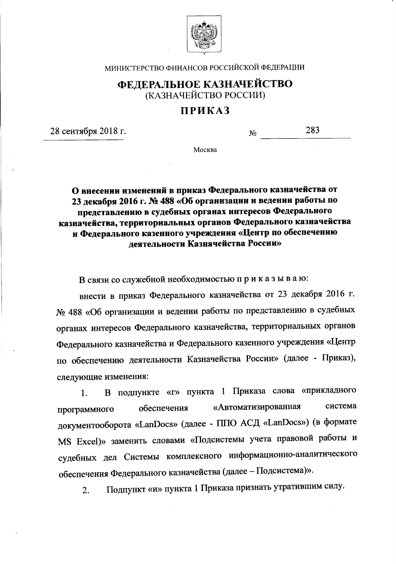

МИНИСТЕРСТВО ФИНАНСОВ РОССИЙСКОЙ ФЕДЕРАЦИИ

## ФЕДЕРАЛЬНОЕ КАЗНАЧЕЙСТВО (КАЗНАЧЕЙСТВО РОССИИ)

## **ПРИКАЗ**

28 сентября 2018 г.

283  $N_{\Omega}$ 

Москва

О внесении изменений в приказ Федерального казначейства от 23 декабря 2016 г. № 488 «Об организации и ведении работы по представлению в судебных органах интересов Федерального казначейства, территориальных органов Федерального казначейства и Федерального казенного учреждения «Центр по обеспечению леятельности Казначейства России»

В связи со служебной необходимостью приказываю:

внести в приказ Федерального казначейства от 23 декабря 2016 г. № 488 «Об организации и ведении работы по представлению в судебных органах интересов Федерального казначейства, территориальных органов Федерального казначейства и Федерального казенного учреждения «Центр по обеспечению деятельности Казначейства России» (далее - Приказ), следующие изменения:

В подпункте «г» пункта 1 Приказа слова «прикладного 1. «Автоматизированная система обеспечения программного документооборота «LanDocs» (далее - ППО АСД «LanDocs») (в формате MS Excel)» заменить словами «Подсистемы учета правовой работы и судебных дел Системы комплексного информационно-аналитического обеспечения Федерального казначейства (далее - Подсистема)».

Подпункт «и» пункта 1 Приказа признать утратившим силу.  $\overline{2}$ .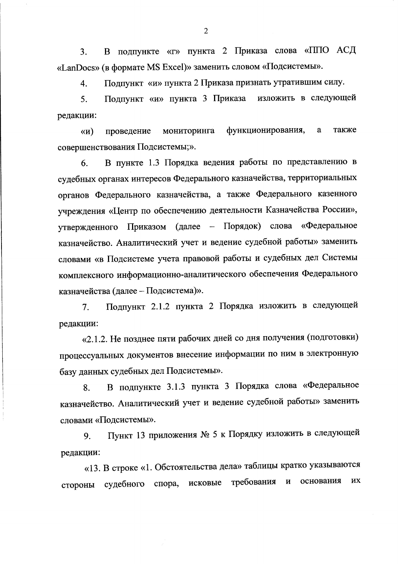В подпункте «г» пункта 2 Приказа слова «ППО АСД 3. «LanDocs» (в формате MS Excel)» заменить словом «Подсистемы».

Подпункт «и» пункта 2 Приказа признать утратившим силу.  $\overline{4}$ .

изложить в следующей Подпункт «и» пункта 3 Приказа 5. редакции:

функционирования, a также мониторинга  $\langle \langle \mathbf{N} \rangle$ проведение совершенствования Подсистемы;».

В пункте 1.3 Порядка ведения работы по представлению в 6. судебных органах интересов Федерального казначейства, территориальных органов Федерального казначейства, а также Федерального казенного учреждения «Центр по обеспечению деятельности Казначейства России», утвержденного Приказом (далее - Порядок) слова «Федеральное казначейство. Аналитический учет и ведение судебной работы» заменить словами «в Подсистеме учета правовой работы и судебных дел Системы комплексного информационно-аналитического обеспечения Федерального казначейства (далее - Подсистема)».

Подпункт 2.1.2 пункта 2 Порядка изложить в следующей 7. редакции:

«2.1.2. Не позднее пяти рабочих дней со дня получения (подготовки) процессуальных документов внесение информации по ним в электронную базу данных судебных дел Подсистемы».

В подпункте 3.1.3 пункта 3 Порядка слова «Федеральное 8. казначейство. Аналитический учет и ведение судебной работы» заменить словами «Подсистемы».

Пункт 13 приложения № 5 к Порядку изложить в следующей 9. редакции:

«13. В строке «1. Обстоятельства дела» таблицы кратко указываются требования основания **HX**  $\mathbf H$ спора, исковые стороны судебного

 $\overline{2}$